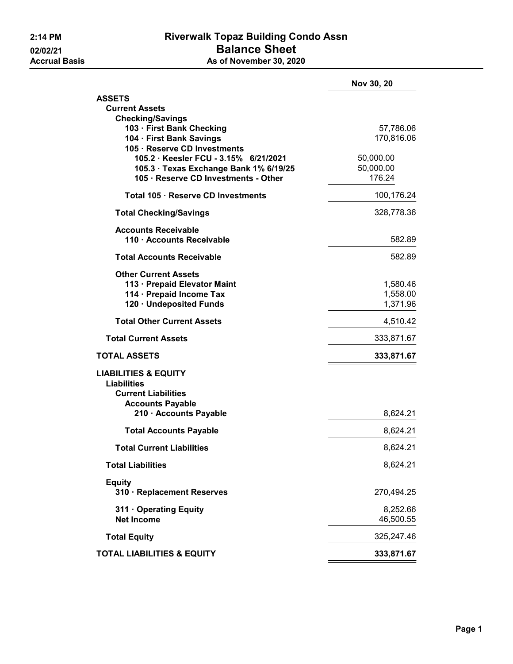## 2:14 PM **Riverwalk Topaz Building Condo Assn** 02/02/21 Balance Sheet<br>Accrual Basis The Contract As of November 30, 202 As of November 30, 2020

|                                                                                                                         | Nov 30, 20                       |
|-------------------------------------------------------------------------------------------------------------------------|----------------------------------|
| <b>ASSETS</b>                                                                                                           |                                  |
| <b>Current Assets</b>                                                                                                   |                                  |
| <b>Checking/Savings</b><br>103 · First Bank Checking<br>104 · First Bank Savings<br>105 · Reserve CD Investments        | 57,786.06<br>170,816.06          |
| 105.2 · Keesler FCU - 3.15% 6/21/2021<br>105.3 · Texas Exchange Bank 1% 6/19/25<br>105 · Reserve CD Investments - Other | 50,000.00<br>50,000.00<br>176.24 |
| Total 105 · Reserve CD Investments                                                                                      | 100,176.24                       |
| <b>Total Checking/Savings</b>                                                                                           | 328,778.36                       |
| <b>Accounts Receivable</b><br>110 · Accounts Receivable                                                                 | 582.89                           |
| <b>Total Accounts Receivable</b>                                                                                        | 582.89                           |
| <b>Other Current Assets</b><br>113 · Prepaid Elevator Maint<br>114 · Prepaid Income Tax<br>120 · Undeposited Funds      | 1,580.46<br>1,558.00<br>1,371.96 |
| <b>Total Other Current Assets</b>                                                                                       | 4,510.42                         |
| <b>Total Current Assets</b>                                                                                             | 333,871.67                       |
| <b>TOTAL ASSETS</b>                                                                                                     | 333,871.67                       |
| <b>LIABILITIES &amp; EQUITY</b><br><b>Liabilities</b><br><b>Current Liabilities</b><br><b>Accounts Payable</b>          |                                  |
| 210 · Accounts Payable                                                                                                  | 8,624.21                         |
| <b>Total Accounts Payable</b>                                                                                           | 8,624.21                         |
| <b>Total Current Liabilities</b>                                                                                        | 8,624.21                         |
| <b>Total Liabilities</b>                                                                                                | 8,624.21                         |
| <b>Equity</b><br>310 · Replacement Reserves                                                                             | 270,494.25                       |
| 311 Operating Equity<br><b>Net Income</b>                                                                               | 8,252.66<br>46,500.55            |
| <b>Total Equity</b>                                                                                                     | 325,247.46                       |
| <b>TOTAL LIABILITIES &amp; EQUITY</b>                                                                                   | 333,871.67                       |